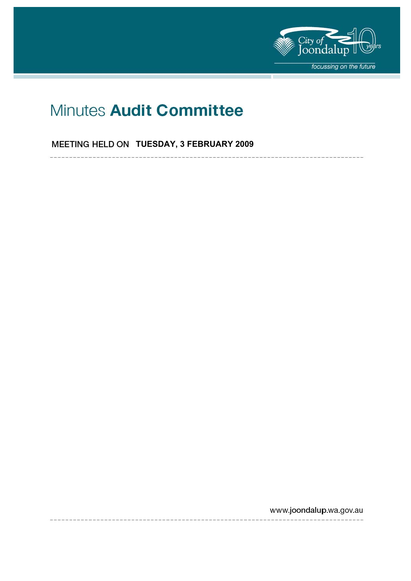

# Minutes Audit Committee

**MEETING HELD ON TUESDAY, 3 FEBRUARY 2009** 

www.joondalup.wa.gov.au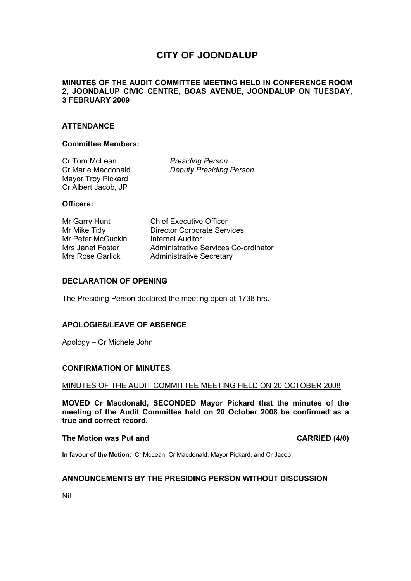# **CITY OF JOONDALUP**

# **MINUTES OF THE AUDIT COMMITTEE MEETING HELD IN CONFERENCE ROOM 2, JOONDALUP CIVIC CENTRE, BOAS AVENUE, JOONDALUP ON TUESDAY, 3 FEBRUARY 2009**

# **ATTENDANCE**

#### **Committee Members:**

Cr Tom McLean *Presiding Person* Mayor Troy Pickard Cr Albert Jacob, JP

Cr Marie Macdonald *Deputy Presiding Person*

#### **Officers:**

Mr Garry Hunt Chief Executive Officer Mr Peter McGuckin Internal Auditor

Mr Mike Tidy **Director Corporate Services** Mrs Janet Foster **Administrative Services Co-ordinator** Mrs Rose Garlick Administrative Secretary

# **DECLARATION OF OPENING**

The Presiding Person declared the meeting open at 1738 hrs.

# **APOLOGIES/LEAVE OF ABSENCE**

Apology – Cr Michele John

#### **CONFIRMATION OF MINUTES**

MINUTES OF THE AUDIT COMMITTEE MEETING HELD ON 20 OCTOBER 2008

**MOVED Cr Macdonald, SECONDED Mayor Pickard that the minutes of the meeting of the Audit Committee held on 20 October 2008 be confirmed as a true and correct record.** 

#### **The Motion was Put and CARRIED (4/0) CARRIED (4/0)**

**In favour of the Motion:** Cr McLean, Cr Macdonald, Mayor Pickard, and Cr Jacob

#### **ANNOUNCEMENTS BY THE PRESIDING PERSON WITHOUT DISCUSSION**

Nil.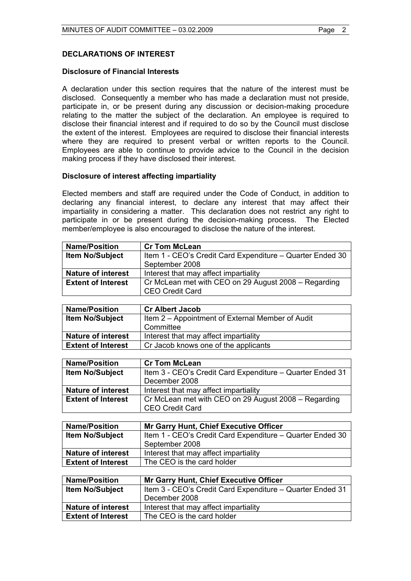# **DECLARATIONS OF INTEREST**

### **Disclosure of Financial Interests**

A declaration under this section requires that the nature of the interest must be disclosed. Consequently a member who has made a declaration must not preside, participate in, or be present during any discussion or decision-making procedure relating to the matter the subject of the declaration. An employee is required to disclose their financial interest and if required to do so by the Council must disclose the extent of the interest. Employees are required to disclose their financial interests where they are required to present verbal or written reports to the Council. Employees are able to continue to provide advice to the Council in the decision making process if they have disclosed their interest*.* 

# **Disclosure of interest affecting impartiality**

Elected members and staff are required under the Code of Conduct, in addition to declaring any financial interest, to declare any interest that may affect their impartiality in considering a matter. This declaration does not restrict any right to participate in or be present during the decision-making process. The Elected member/employee is also encouraged to disclose the nature of the interest.

| <b>Name/Position</b>      | <b>Cr Tom McLean</b>                                      |
|---------------------------|-----------------------------------------------------------|
| <b>Item No/Subject</b>    | Item 1 - CEO's Credit Card Expenditure - Quarter Ended 30 |
|                           | September 2008                                            |
| <b>Nature of interest</b> | Interest that may affect impartiality                     |
| <b>Extent of Interest</b> | Cr McLean met with CEO on 29 August 2008 – Regarding      |
|                           | <b>CEO Credit Card</b>                                    |

| <b>Name/Position</b>      | <b>Cr Albert Jacob</b>                           |
|---------------------------|--------------------------------------------------|
| <b>Item No/Subject</b>    | Item 2 – Appointment of External Member of Audit |
|                           | Committee                                        |
| <b>Nature of interest</b> | Interest that may affect impartiality            |
| <b>Extent of Interest</b> | Cr Jacob knows one of the applicants             |

| <b>Name/Position</b>      | <b>Cr Tom McLean</b>                                      |
|---------------------------|-----------------------------------------------------------|
| <b>Item No/Subject</b>    | Item 3 - CEO's Credit Card Expenditure – Quarter Ended 31 |
|                           | December 2008                                             |
| <b>Nature of interest</b> | Interest that may affect impartiality                     |
| <b>Extent of Interest</b> | Cr McLean met with CEO on 29 August 2008 - Regarding      |
|                           | <b>CEO Credit Card</b>                                    |

| <b>Name/Position</b>      | <b>Mr Garry Hunt, Chief Executive Officer</b>             |
|---------------------------|-----------------------------------------------------------|
| <b>Item No/Subject</b>    | Item 1 - CEO's Credit Card Expenditure – Quarter Ended 30 |
|                           | September 2008                                            |
| <b>Nature of interest</b> | Interest that may affect impartiality                     |
| <b>Extent of Interest</b> | The CEO is the card holder                                |

| <b>Name/Position</b>      | <b>Mr Garry Hunt, Chief Executive Officer</b>             |
|---------------------------|-----------------------------------------------------------|
| <b>Item No/Subject</b>    | Item 3 - CEO's Credit Card Expenditure - Quarter Ended 31 |
|                           | December 2008                                             |
| <b>Nature of interest</b> | Interest that may affect impartiality                     |
| <b>Extent of Interest</b> | The CEO is the card holder                                |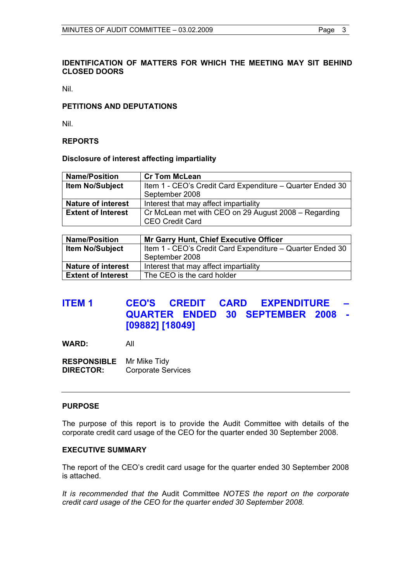# **IDENTIFICATION OF MATTERS FOR WHICH THE MEETING MAY SIT BEHIND CLOSED DOORS**

Nil.

# **PETITIONS AND DEPUTATIONS**

Nil.

## **REPORTS**

#### **Disclosure of interest affecting impartiality**

| <b>Name/Position</b>      | <b>Cr Tom McLean</b>                                                           |
|---------------------------|--------------------------------------------------------------------------------|
| <b>Item No/Subject</b>    | Item 1 - CEO's Credit Card Expenditure - Quarter Ended 30                      |
|                           | September 2008                                                                 |
| <b>Nature of interest</b> | Interest that may affect impartiality                                          |
| <b>Extent of Interest</b> | Cr McLean met with CEO on 29 August 2008 – Regarding<br><b>CEO Credit Card</b> |

| <b>Name/Position</b>      | <b>Mr Garry Hunt, Chief Executive Officer</b>             |
|---------------------------|-----------------------------------------------------------|
| <b>Item No/Subject</b>    | Item 1 - CEO's Credit Card Expenditure - Quarter Ended 30 |
|                           | September 2008                                            |
| <b>Nature of interest</b> | Interest that may affect impartiality                     |
| <b>Extent of Interest</b> | The CEO is the card holder                                |

# **ITEM 1 CEO'S CREDIT CARD EXPENDITURE QUARTER ENDED 30 SEPTEMBER 2008 - [09882] [18049]**

**WARD:** All

**RESPONSIBLE** Mr Mike Tidy **DIRECTOR:** Corporate Services

#### **PURPOSE**

The purpose of this report is to provide the Audit Committee with details of the corporate credit card usage of the CEO for the quarter ended 30 September 2008.

# **EXECUTIVE SUMMARY**

The report of the CEO's credit card usage for the quarter ended 30 September 2008 is attached.

*It is recommended that the* Audit Committee *NOTES the report on the corporate credit card usage of the CEO for the quarter ended 30 September 2008.*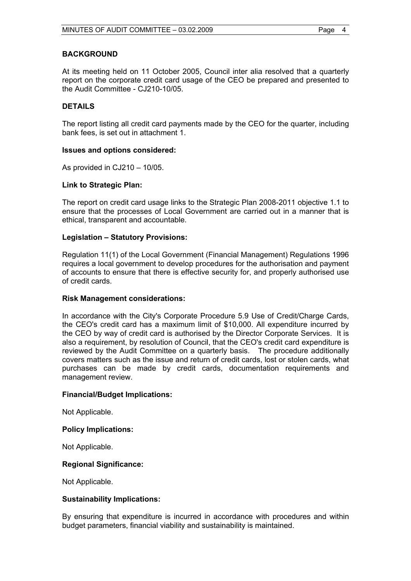# **BACKGROUND**

At its meeting held on 11 October 2005, Council inter alia resolved that a quarterly report on the corporate credit card usage of the CEO be prepared and presented to the Audit Committee - CJ210-10/05

# **DETAILS**

The report listing all credit card payments made by the CEO for the quarter, including bank fees, is set out in attachment 1.

#### **Issues and options considered:**

As provided in CJ210 – 10/05.

#### **Link to Strategic Plan:**

The report on credit card usage links to the Strategic Plan 2008-2011 objective 1.1 to ensure that the processes of Local Government are carried out in a manner that is ethical, transparent and accountable.

# **Legislation – Statutory Provisions:**

Regulation 11(1) of the Local Government (Financial Management) Regulations 1996 requires a local government to develop procedures for the authorisation and payment of accounts to ensure that there is effective security for, and properly authorised use of credit cards.

#### **Risk Management considerations:**

In accordance with the City's Corporate Procedure 5.9 Use of Credit/Charge Cards, the CEO's credit card has a maximum limit of \$10,000. All expenditure incurred by the CEO by way of credit card is authorised by the Director Corporate Services. It is also a requirement, by resolution of Council, that the CEO's credit card expenditure is reviewed by the Audit Committee on a quarterly basis. The procedure additionally covers matters such as the issue and return of credit cards, lost or stolen cards, what purchases can be made by credit cards, documentation requirements and management review.

#### **Financial/Budget Implications:**

Not Applicable.

#### **Policy Implications:**

Not Applicable.

# **Regional Significance:**

Not Applicable.

#### **Sustainability Implications:**

By ensuring that expenditure is incurred in accordance with procedures and within budget parameters, financial viability and sustainability is maintained.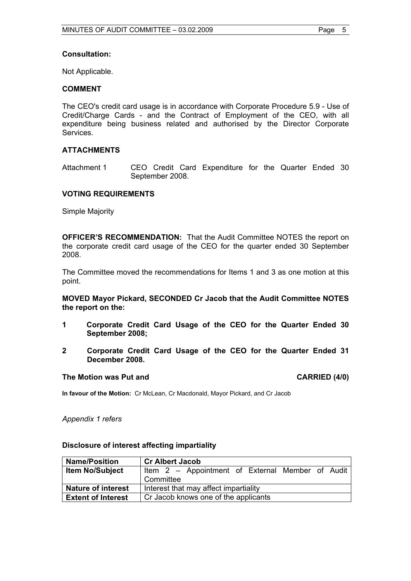#### **Consultation:**

Not Applicable.

# **COMMENT**

The CEO's credit card usage is in accordance with Corporate Procedure 5.9 - Use of Credit/Charge Cards - and the Contract of Employment of the CEO, with all expenditure being business related and authorised by the Director Corporate Services.

# **ATTACHMENTS**

Attachment 1 CEO Credit Card Expenditure for the Quarter Ended 30 September 2008.

#### **VOTING REQUIREMENTS**

Simple Majority

**OFFICER'S RECOMMENDATION:** That the Audit Committee NOTES the report on the corporate credit card usage of the CEO for the quarter ended 30 September 2008.

The Committee moved the recommendations for Items 1 and 3 as one motion at this point.

**MOVED Mayor Pickard, SECONDED Cr Jacob that the Audit Committee NOTES the report on the:** 

- **1 Corporate Credit Card Usage of the CEO for the Quarter Ended 30 September 2008;**
- **2 Corporate Credit Card Usage of the CEO for the Quarter Ended 31 December 2008.**

#### The Motion was Put and **CARRIED** (4/0)

**In favour of the Motion:** Cr McLean, Cr Macdonald, Mayor Pickard, and Cr Jacob

*Appendix 1 refers*

#### **Disclosure of interest affecting impartiality**

| <b>Name/Position</b>      | <b>Cr Albert Jacob</b>                           |
|---------------------------|--------------------------------------------------|
| <b>Item No/Subject</b>    | Item 2 - Appointment of External Member of Audit |
|                           | Committee                                        |
| <b>Nature of interest</b> | Interest that may affect impartiality            |
| <b>Extent of Interest</b> | Cr Jacob knows one of the applicants             |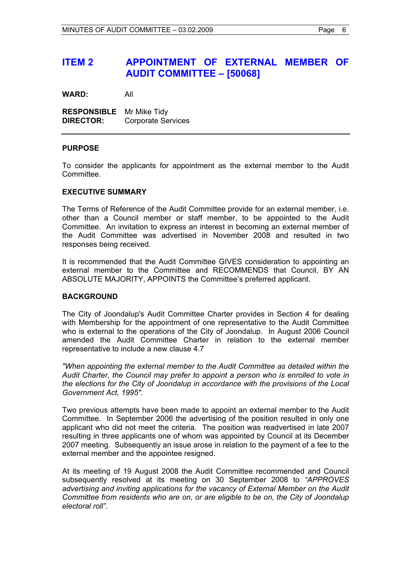# **ITEM 2 APPOINTMENT OF EXTERNAL MEMBER OF AUDIT COMMITTEE – [50068]**

**WARD:** All

**RESPONSIBLE** Mr Mike Tidy **DIRECTOR:** Corporate Services

# **PURPOSE**

To consider the applicants for appointment as the external member to the Audit **Committee.** 

#### **EXECUTIVE SUMMARY**

The Terms of Reference of the Audit Committee provide for an external member, i.e. other than a Council member or staff member, to be appointed to the Audit Committee. An invitation to express an interest in becoming an external member of the Audit Committee was advertised in November 2008 and resulted in two responses being received.

It is recommended that the Audit Committee GIVES consideration to appointing an external member to the Committee and RECOMMENDS that Council, BY AN ABSOLUTE MAJORITY, APPOINTS the Committee's preferred applicant.

#### **BACKGROUND**

The City of Joondalup's Audit Committee Charter provides in Section 4 for dealing with Membership for the appointment of one representative to the Audit Committee who is external to the operations of the City of Joondalup. In August 2006 Council amended the Audit Committee Charter in relation to the external member representative to include a new clause 4.7

*"When appointing the external member to the Audit Committee as detailed within the Audit Charter, the Council may prefer to appoint a person who is enrolled to vote in the elections for the City of Joondalup in accordance with the provisions of the Local Government Act, 1995".* 

Two previous attempts have been made to appoint an external member to the Audit Committee. In September 2006 the advertising of the position resulted in only one applicant who did not meet the criteria. The position was readvertised in late 2007 resulting in three applicants one of whom was appointed by Council at its December 2007 meeting. Subsequently an issue arose in relation to the payment of a fee to the external member and the appointee resigned.

At its meeting of 19 August 2008 the Audit Committee recommended and Council subsequently resolved at its meeting on 30 September 2008 to *"APPROVES advertising and inviting applications for the vacancy of External Member on the Audit Committee from residents who are on, or are eligible to be on, the City of Joondalup electoral roll"*.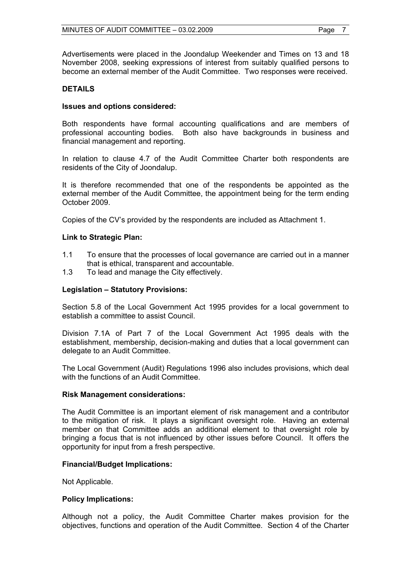Advertisements were placed in the Joondalup Weekender and Times on 13 and 18 November 2008, seeking expressions of interest from suitably qualified persons to become an external member of the Audit Committee. Two responses were received.

# **DETAILS**

## **Issues and options considered:**

Both respondents have formal accounting qualifications and are members of professional accounting bodies. Both also have backgrounds in business and financial management and reporting.

In relation to clause 4.7 of the Audit Committee Charter both respondents are residents of the City of Joondalup.

It is therefore recommended that one of the respondents be appointed as the external member of the Audit Committee, the appointment being for the term ending October 2009.

Copies of the CV's provided by the respondents are included as Attachment 1.

# **Link to Strategic Plan:**

- 1.1 To ensure that the processes of local governance are carried out in a manner that is ethical, transparent and accountable.
- 1.3 To lead and manage the City effectively.

# **Legislation – Statutory Provisions:**

Section 5.8 of the Local Government Act 1995 provides for a local government to establish a committee to assist Council.

Division 7.1A of Part 7 of the Local Government Act 1995 deals with the establishment, membership, decision-making and duties that a local government can delegate to an Audit Committee.

The Local Government (Audit) Regulations 1996 also includes provisions, which deal with the functions of an Audit Committee.

#### **Risk Management considerations:**

The Audit Committee is an important element of risk management and a contributor to the mitigation of risk. It plays a significant oversight role. Having an external member on that Committee adds an additional element to that oversight role by bringing a focus that is not influenced by other issues before Council. It offers the opportunity for input from a fresh perspective.

#### **Financial/Budget Implications:**

Not Applicable.

#### **Policy Implications:**

Although not a policy, the Audit Committee Charter makes provision for the objectives, functions and operation of the Audit Committee. Section 4 of the Charter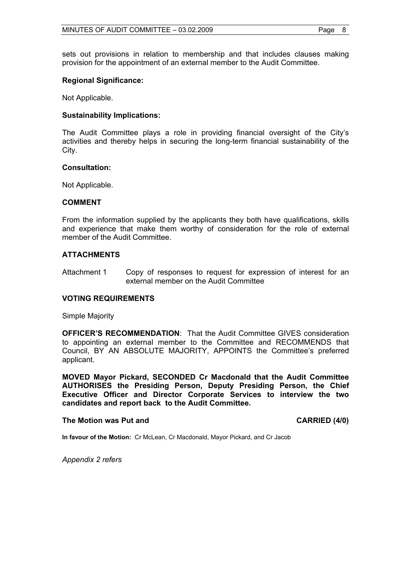sets out provisions in relation to membership and that includes clauses making provision for the appointment of an external member to the Audit Committee.

# **Regional Significance:**

Not Applicable.

# **Sustainability Implications:**

The Audit Committee plays a role in providing financial oversight of the City's activities and thereby helps in securing the long-term financial sustainability of the City.

#### **Consultation:**

Not Applicable.

# **COMMENT**

From the information supplied by the applicants they both have qualifications, skills and experience that make them worthy of consideration for the role of external member of the Audit Committee.

# **ATTACHMENTS**

Attachment 1 Copy of responses to request for expression of interest for an external member on the Audit Committee

#### **VOTING REQUIREMENTS**

Simple Majority

**OFFICER'S RECOMMENDATION:** That the Audit Committee GIVES consideration to appointing an external member to the Committee and RECOMMENDS that Council, BY AN ABSOLUTE MAJORITY, APPOINTS the Committee's preferred applicant.

**MOVED Mayor Pickard, SECONDED Cr Macdonald that the Audit Committee AUTHORISES the Presiding Person, Deputy Presiding Person, the Chief Executive Officer and Director Corporate Services to interview the two candidates and report back to the Audit Committee.** 

#### **The Motion was Put and CARRIED (4/0) CARRIED (4/0)**

**In favour of the Motion:** Cr McLean, Cr Macdonald, Mayor Pickard, and Cr Jacob

*Appendix 2 refers*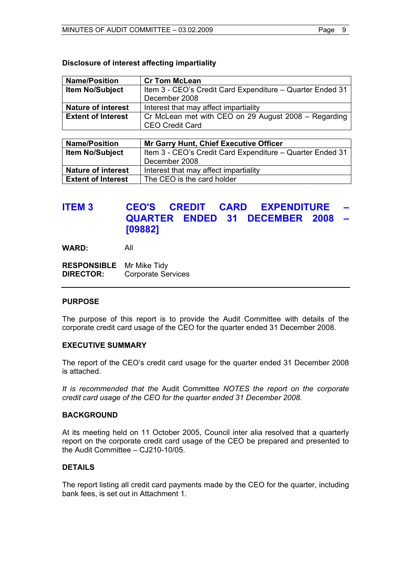# **Disclosure of interest affecting impartiality**

| <b>Name/Position</b>      | <b>Cr Tom McLean</b>                                      |
|---------------------------|-----------------------------------------------------------|
| <b>Item No/Subject</b>    | Item 3 - CEO's Credit Card Expenditure – Quarter Ended 31 |
|                           | December 2008                                             |
| <b>Nature of interest</b> | Interest that may affect impartiality                     |
| <b>Extent of Interest</b> | Cr McLean met with CEO on 29 August 2008 – Regarding      |
|                           | <b>CEO Credit Card</b>                                    |

| <b>Name/Position</b>      | <b>Mr Garry Hunt, Chief Executive Officer</b>             |
|---------------------------|-----------------------------------------------------------|
| <b>Item No/Subject</b>    | Item 3 - CEO's Credit Card Expenditure - Quarter Ended 31 |
|                           | December 2008                                             |
| <b>Nature of interest</b> | Interest that may affect impartiality                     |
| <b>Extent of Interest</b> | The CEO is the card holder                                |

# **ITEM 3 CEO'S CREDIT CARD EXPENDITURE QUARTER ENDED 31 DECEMBER 2008 – [09882]**

**WARD:** All

**RESPONSIBLE** Mr Mike Tidy **DIRECTOR:** Corporate Services

# **PURPOSE**

The purpose of this report is to provide the Audit Committee with details of the corporate credit card usage of the CEO for the quarter ended 31 December 2008.

# **EXECUTIVE SUMMARY**

The report of the CEO's credit card usage for the quarter ended 31 December 2008 is attached.

*It is recommended that the* Audit Committee *NOTES the report on the corporate credit card usage of the CEO for the quarter ended 31 December 2008.* 

#### **BACKGROUND**

At its meeting held on 11 October 2005, Council inter alia resolved that a quarterly report on the corporate credit card usage of the CEO be prepared and presented to the Audit Committee – CJ210-10/05.

# **DETAILS**

The report listing all credit card payments made by the CEO for the quarter, including bank fees, is set out in Attachment 1.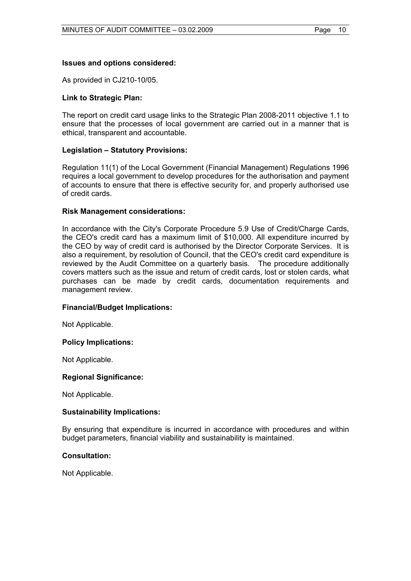# **Issues and options considered:**

As provided in CJ210-10/05.

## **Link to Strategic Plan:**

The report on credit card usage links to the Strategic Plan 2008-2011 objective 1.1 to ensure that the processes of local government are carried out in a manner that is ethical, transparent and accountable.

# **Legislation – Statutory Provisions:**

Regulation 11(1) of the Local Government (Financial Management) Regulations 1996 requires a local government to develop procedures for the authorisation and payment of accounts to ensure that there is effective security for, and properly authorised use of credit cards.

#### **Risk Management considerations:**

In accordance with the City's Corporate Procedure 5.9 Use of Credit/Charge Cards, the CEO's credit card has a maximum limit of \$10,000. All expenditure incurred by the CEO by way of credit card is authorised by the Director Corporate Services. It is also a requirement, by resolution of Council, that the CEO's credit card expenditure is reviewed by the Audit Committee on a quarterly basis. The procedure additionally covers matters such as the issue and return of credit cards, lost or stolen cards, what purchases can be made by credit cards, documentation requirements and management review.

#### **Financial/Budget Implications:**

Not Applicable.

#### **Policy Implications:**

Not Applicable.

#### **Regional Significance:**

Not Applicable.

#### **Sustainability Implications:**

By ensuring that expenditure is incurred in accordance with procedures and within budget parameters, financial viability and sustainability is maintained.

#### **Consultation:**

Not Applicable.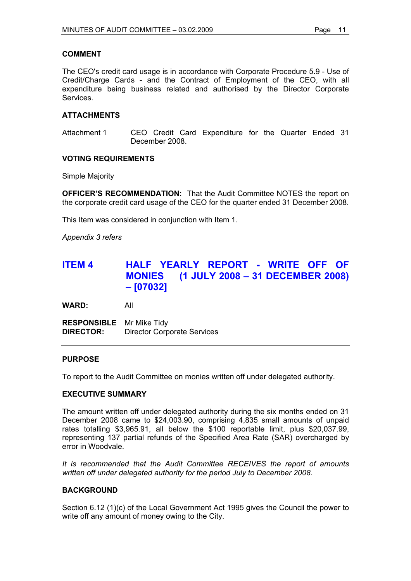# **COMMENT**

The CEO's credit card usage is in accordance with Corporate Procedure 5.9 - Use of Credit/Charge Cards - and the Contract of Employment of the CEO, with all expenditure being business related and authorised by the Director Corporate Services.

# **ATTACHMENTS**

Attachment 1 CEO Credit Card Expenditure for the Quarter Ended 31 December 2008.

# **VOTING REQUIREMENTS**

Simple Majority

**OFFICER'S RECOMMENDATION:** That the Audit Committee NOTES the report on the corporate credit card usage of the CEO for the quarter ended 31 December 2008.

This Item was considered in conjunction with Item 1.

*Appendix 3 refers* 

# **ITEM 4 HALF YEARLY REPORT - WRITE OFF OF MONIES (1 JULY 2008 – 31 DECEMBER 2008) – [07032]**

**WARD:** All

**RESPONSIBLE** Mr Mike Tidy **DIRECTOR:** Director Corporate Services

#### **PURPOSE**

To report to the Audit Committee on monies written off under delegated authority.

# **EXECUTIVE SUMMARY**

The amount written off under delegated authority during the six months ended on 31 December 2008 came to \$24,003.90, comprising 4,835 small amounts of unpaid rates totalling \$3,965.91, all below the \$100 reportable limit, plus \$20,037.99, representing 137 partial refunds of the Specified Area Rate (SAR) overcharged by error in Woodvale.

*It is recommended that the Audit Committee RECEIVES the report of amounts written off under delegated authority for the period July to December 2008.* 

# **BACKGROUND**

Section 6.12 (1)(c) of the Local Government Act 1995 gives the Council the power to write off any amount of money owing to the City.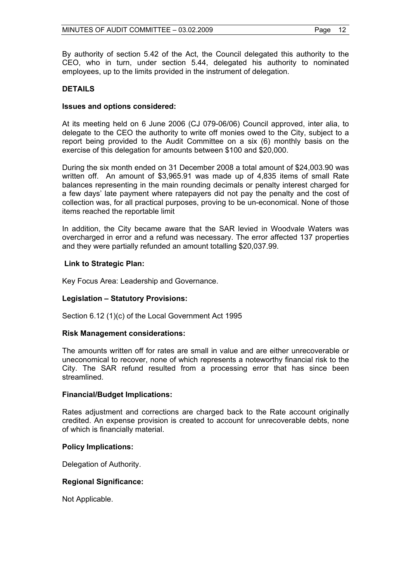By authority of section 5.42 of the Act, the Council delegated this authority to the CEO, who in turn, under section 5.44, delegated his authority to nominated employees, up to the limits provided in the instrument of delegation.

# **DETAILS**

## **Issues and options considered:**

At its meeting held on 6 June 2006 (CJ 079-06/06) Council approved, inter alia, to delegate to the CEO the authority to write off monies owed to the City, subject to a report being provided to the Audit Committee on a six (6) monthly basis on the exercise of this delegation for amounts between \$100 and \$20,000.

During the six month ended on 31 December 2008 a total amount of \$24,003.90 was written off. An amount of \$3,965.91 was made up of 4,835 items of small Rate balances representing in the main rounding decimals or penalty interest charged for a few days' late payment where ratepayers did not pay the penalty and the cost of collection was, for all practical purposes, proving to be un-economical. None of those items reached the reportable limit

In addition, the City became aware that the SAR levied in Woodvale Waters was overcharged in error and a refund was necessary. The error affected 137 properties and they were partially refunded an amount totalling \$20,037.99.

#### **Link to Strategic Plan:**

Key Focus Area: Leadership and Governance.

# **Legislation – Statutory Provisions:**

Section 6.12 (1)(c) of the Local Government Act 1995

#### **Risk Management considerations:**

The amounts written off for rates are small in value and are either unrecoverable or uneconomical to recover, none of which represents a noteworthy financial risk to the City. The SAR refund resulted from a processing error that has since been streamlined.

#### **Financial/Budget Implications:**

Rates adjustment and corrections are charged back to the Rate account originally credited. An expense provision is created to account for unrecoverable debts, none of which is financially material.

#### **Policy Implications:**

Delegation of Authority.

# **Regional Significance:**

Not Applicable.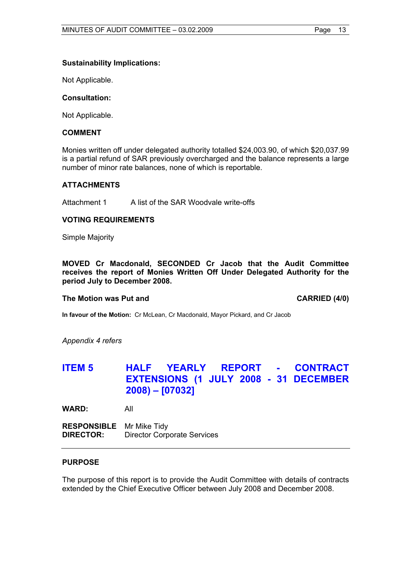# **Sustainability Implications:**

Not Applicable.

## **Consultation:**

Not Applicable.

# **COMMENT**

Monies written off under delegated authority totalled \$24,003.90, of which \$20,037.99 is a partial refund of SAR previously overcharged and the balance represents a large number of minor rate balances, none of which is reportable.

#### **ATTACHMENTS**

Attachment 1 A list of the SAR Woodvale write-offs

#### **VOTING REQUIREMENTS**

Simple Majority

**MOVED Cr Macdonald, SECONDED Cr Jacob that the Audit Committee receives the report of Monies Written Off Under Delegated Authority for the period July to December 2008.** 

#### **The Motion was Put and CARRIED (4/0) CARRIED (4/0)**

**In favour of the Motion:** Cr McLean, Cr Macdonald, Mayor Pickard, and Cr Jacob

*Appendix 4 refers* 

# **ITEM 5 HALF YEARLY REPORT - CONTRACT EXTENSIONS (1 JULY 2008 - 31 DECEMBER 2008) – [07032]**

**WARD:** All

**RESPONSIBLE** Mr Mike Tidy **DIRECTOR:** Director Corporate Services

#### **PURPOSE**

The purpose of this report is to provide the Audit Committee with details of contracts extended by the Chief Executive Officer between July 2008 and December 2008.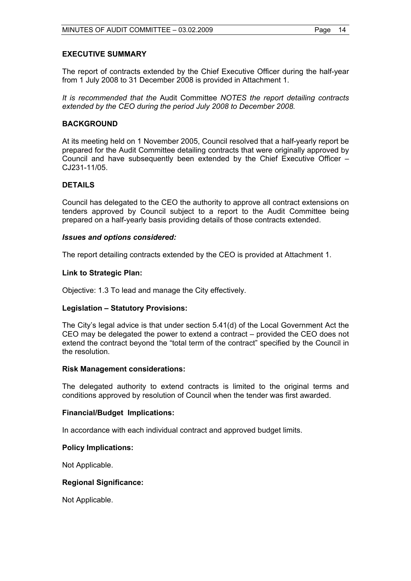# **EXECUTIVE SUMMARY**

The report of contracts extended by the Chief Executive Officer during the half-year from 1 July 2008 to 31 December 2008 is provided in Attachment 1.

*It is recommended that the* Audit Committee *NOTES the report detailing contracts extended by the CEO during the period July 2008 to December 2008.* 

# **BACKGROUND**

At its meeting held on 1 November 2005, Council resolved that a half-yearly report be prepared for the Audit Committee detailing contracts that were originally approved by Council and have subsequently been extended by the Chief Executive Officer – CJ231-11/05.

# **DETAILS**

Council has delegated to the CEO the authority to approve all contract extensions on tenders approved by Council subject to a report to the Audit Committee being prepared on a half-yearly basis providing details of those contracts extended.

# *Issues and options considered:*

The report detailing contracts extended by the CEO is provided at Attachment 1.

# **Link to Strategic Plan:**

Objective: 1.3 To lead and manage the City effectively.

#### **Legislation – Statutory Provisions:**

The City's legal advice is that under section 5.41(d) of the Local Government Act the CEO may be delegated the power to extend a contract – provided the CEO does not extend the contract beyond the "total term of the contract" specified by the Council in the resolution.

#### **Risk Management considerations:**

The delegated authority to extend contracts is limited to the original terms and conditions approved by resolution of Council when the tender was first awarded.

#### **Financial/Budget Implications:**

In accordance with each individual contract and approved budget limits.

#### **Policy Implications:**

Not Applicable.

# **Regional Significance:**

Not Applicable.